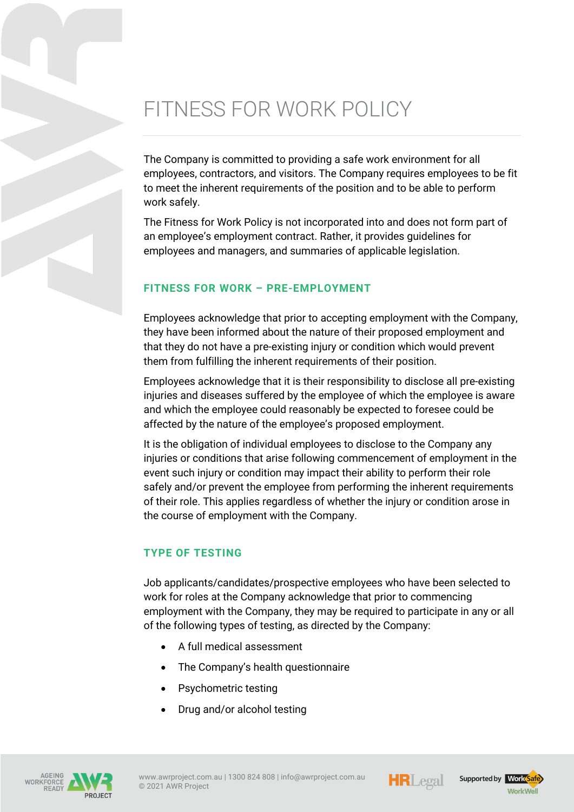# FITNESS FOR WORK POLICY

The Company is committed to providing a safe work environment for all employees, contractors, and visitors. The Company requires employees to be fit to meet the inherent requirements of the position and to be able to perform work safely.

The Fitness for Work Policy is not incorporated into and does not form part of an employee's employment contract. Rather, it provides guidelines for employees and managers, and summaries of applicable legislation.

#### **FITNESS FOR WORK – PRE-EMPLOYMENT**

Employees acknowledge that prior to accepting employment with the Company, they have been informed about the nature of their proposed employment and that they do not have a pre-existing injury or condition which would prevent them from fulfilling the inherent requirements of their position.

Employees acknowledge that it is their responsibility to disclose all pre-existing injuries and diseases suffered by the employee of which the employee is aware and which the employee could reasonably be expected to foresee could be affected by the nature of the employee's proposed employment.

It is the obligation of individual employees to disclose to the Company any injuries or conditions that arise following commencement of employment in the event such injury or condition may impact their ability to perform their role safely and/or prevent the employee from performing the inherent requirements of their role. This applies regardless of whether the injury or condition arose in the course of employment with the Company.

## **TYPE OF TESTING**

Job applicants/candidates/prospective employees who have been selected to work for roles at the Company acknowledge that prior to commencing employment with the Company, they may be required to participate in any or all of the following types of testing, as directed by the Company:

- A full medical assessment
- The Company's health questionnaire
- Psychometric testing
- Drug and/or alcohol testing









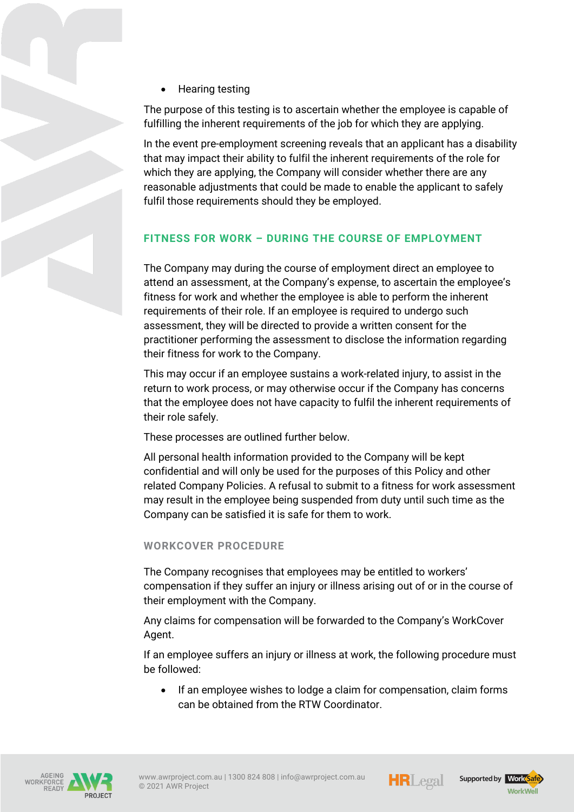• Hearing testing

The purpose of this testing is to ascertain whether the employee is capable of fulfilling the inherent requirements of the job for which they are applying.

In the event pre-employment screening reveals that an applicant has a disability that may impact their ability to fulfil the inherent requirements of the role for which they are applying, the Company will consider whether there are any reasonable adjustments that could be made to enable the applicant to safely fulfil those requirements should they be employed.

# **FITNESS FOR WORK – DURING THE COURSE OF EMPLOYMENT**

The Company may during the course of employment direct an employee to attend an assessment, at the Company's expense, to ascertain the employee's fitness for work and whether the employee is able to perform the inherent requirements of their role. If an employee is required to undergo such assessment, they will be directed to provide a written consent for the practitioner performing the assessment to disclose the information regarding their fitness for work to the Company.

This may occur if an employee sustains a work-related injury, to assist in the return to work process, or may otherwise occur if the Company has concerns that the employee does not have capacity to fulfil the inherent requirements of their role safely.

These processes are outlined further below.

All personal health information provided to the Company will be kept confidential and will only be used for the purposes of this Policy and other related Company Policies. A refusal to submit to a fitness for work assessment may result in the employee being suspended from duty until such time as the Company can be satisfied it is safe for them to work.

#### **WORKCOVER PROCEDURE**

The Company recognises that employees may be entitled to workers' compensation if they suffer an injury or illness arising out of or in the course of their employment with the Company.

Any claims for compensation will be forwarded to the Company's WorkCover Agent.

If an employee suffers an injury or illness at work, the following procedure must be followed:

• If an employee wishes to lodge a claim for compensation, claim forms can be obtained from the RTW Coordinator.







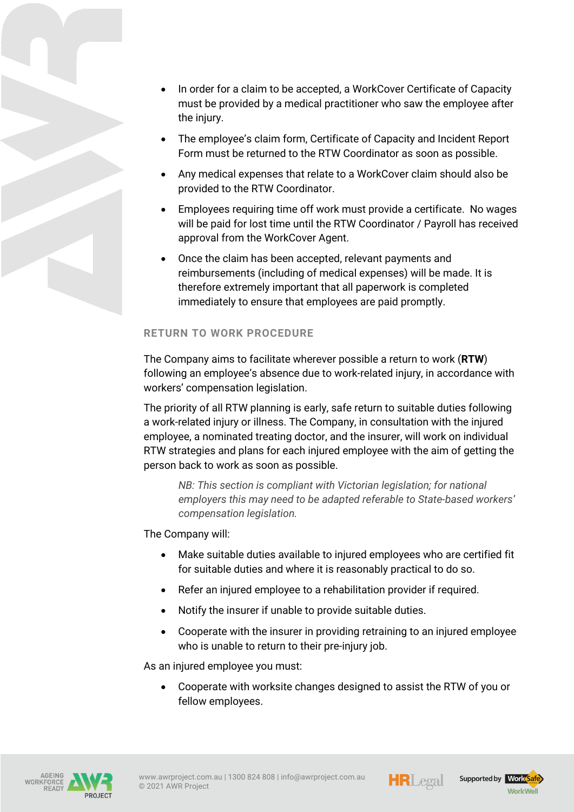

- The employee's claim form, Certificate of Capacity and Incident Report Form must be returned to the RTW Coordinator as soon as possible.
- Any medical expenses that relate to a WorkCover claim should also be provided to the RTW Coordinator.
- Employees requiring time off work must provide a certificate. No wages will be paid for lost time until the RTW Coordinator / Payroll has received approval from the WorkCover Agent.
- Once the claim has been accepted, relevant payments and reimbursements (including of medical expenses) will be made. It is therefore extremely important that all paperwork is completed immediately to ensure that employees are paid promptly.

# **RETURN TO WORK PROCEDURE**

The Company aims to facilitate wherever possible a return to work (**RTW**) following an employee's absence due to work-related injury, in accordance with workers' compensation legislation.

The priority of all RTW planning is early, safe return to suitable duties following a work-related injury or illness. The Company, in consultation with the injured employee, a nominated treating doctor, and the insurer, will work on individual RTW strategies and plans for each injured employee with the aim of getting the person back to work as soon as possible.

*NB*: This section is compliant with Victorian legislation; for national *employers this may need to be adapted referable to State-based workers' compensation legislation.*

The Company will:

- Make suitable duties available to injured employees who are certified fit for suitable duties and where it is reasonably practical to do so.
- Refer an injured employee to a rehabilitation provider if required.
- Notify the insurer if unable to provide suitable duties.
- Cooperate with the insurer in providing retraining to an injured employee who is unable to return to their pre-injury job.

As an injured employee you must:

• Cooperate with worksite changes designed to assist the RTW of you or fellow employees.





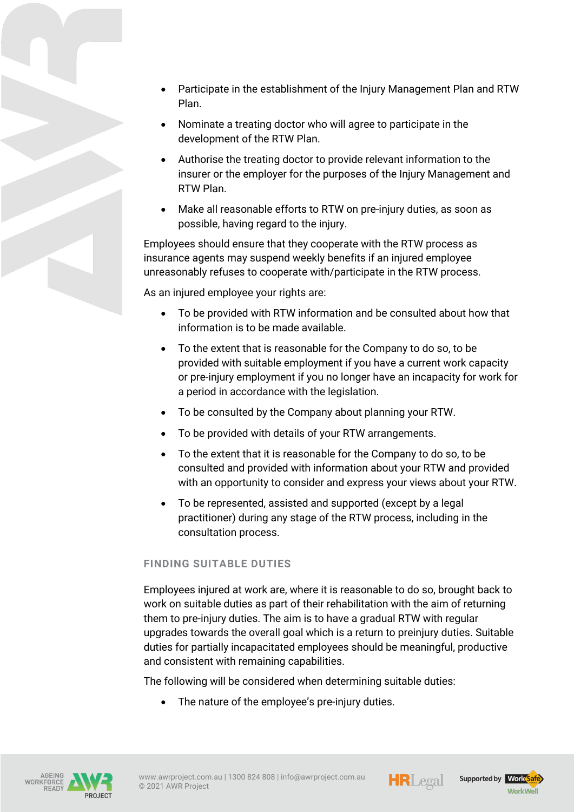- Participate in the establishment of the Injury Management Plan and RTW Plan.
- Nominate a treating doctor who will agree to participate in the development of the RTW Plan.
- Authorise the treating doctor to provide relevant information to the insurer or the employer for the purposes of the Injury Management and RTW Plan.
- Make all reasonable efforts to RTW on pre-injury duties, as soon as possible, having regard to the injury.

Employees should ensure that they cooperate with the RTW process as insurance agents may suspend weekly benefits if an injured employee unreasonably refuses to cooperate with/participate in the RTW process.

As an injured employee your rights are:

- To be provided with RTW information and be consulted about how that information is to be made available.
- To the extent that is reasonable for the Company to do so, to be provided with suitable employment if you have a current work capacity or pre-injury employment if you no longer have an incapacity for work for a period in accordance with the legislation.
- To be consulted by the Company about planning your RTW.
- To be provided with details of your RTW arrangements.
- To the extent that it is reasonable for the Company to do so, to be consulted and provided with information about your RTW and provided with an opportunity to consider and express your views about your RTW.
- To be represented, assisted and supported (except by a legal practitioner) during any stage of the RTW process, including in the consultation process.

## **FINDING SUITABLE DUTIES**

Employees injured at work are, where it is reasonable to do so, brought back to work on suitable duties as part of their rehabilitation with the aim of returning them to pre-injury duties. The aim is to have a gradual RTW with regular upgrades towards the overall goal which is a return to preinjury duties. Suitable duties for partially incapacitated employees should be meaningful, productive and consistent with remaining capabilities.

The following will be considered when determining suitable duties:

• The nature of the employee's pre-injury duties.







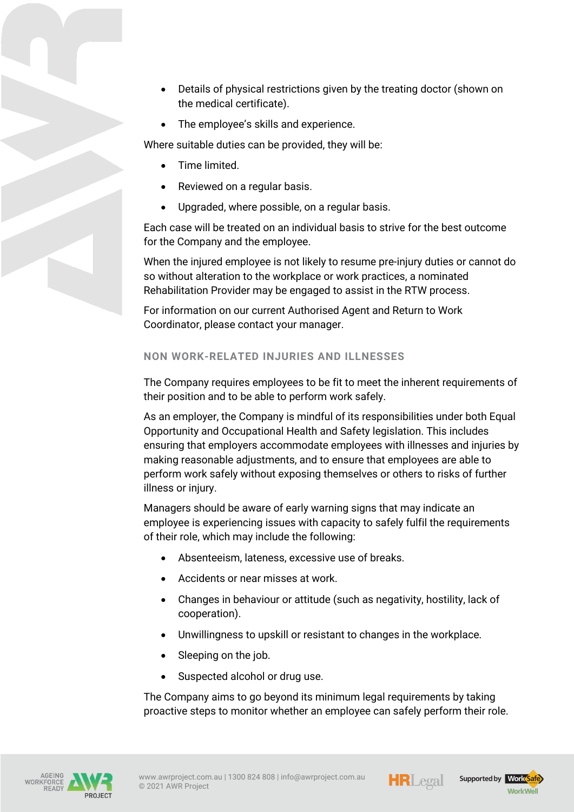- Details of physical restrictions given by the treating doctor (shown on the medical certificate).
- The employee's skills and experience.

Where suitable duties can be provided, they will be:

- Time limited.
- Reviewed on a regular basis.
- Upgraded, where possible, on a regular basis.

Each case will be treated on an individual basis to strive for the best outcome for the Company and the employee.

When the injured employee is not likely to resume pre-injury duties or cannot do so without alteration to the workplace or work practices, a nominated Rehabilitation Provider may be engaged to assist in the RTW process.

For information on our current Authorised Agent and Return to Work Coordinator, please contact your manager.

## **NON WORK-RELATED INJURIES AND ILLNESSES**

The Company requires employees to be fit to meet the inherent requirements of their position and to be able to perform work safely.

As an employer, the Company is mindful of its responsibilities under both Equal Opportunity and Occupational Health and Safety legislation. This includes ensuring that employers accommodate employees with illnesses and injuries by making reasonable adjustments, and to ensure that employees are able to perform work safely without exposing themselves or others to risks of further illness or injury.

Managers should be aware of early warning signs that may indicate an employee is experiencing issues with capacity to safely fulfil the requirements of their role, which may include the following:

- Absenteeism, lateness, excessive use of breaks.
- Accidents or near misses at work.
- Changes in behaviour or attitude (such as negativity, hostility, lack of cooperation).
- Unwillingness to upskill or resistant to changes in the workplace.
- Sleeping on the job.
- Suspected alcohol or drug use.

The Company aims to go beyond its minimum legal requirements by taking proactive steps to monitor whether an employee can safely perform their role.







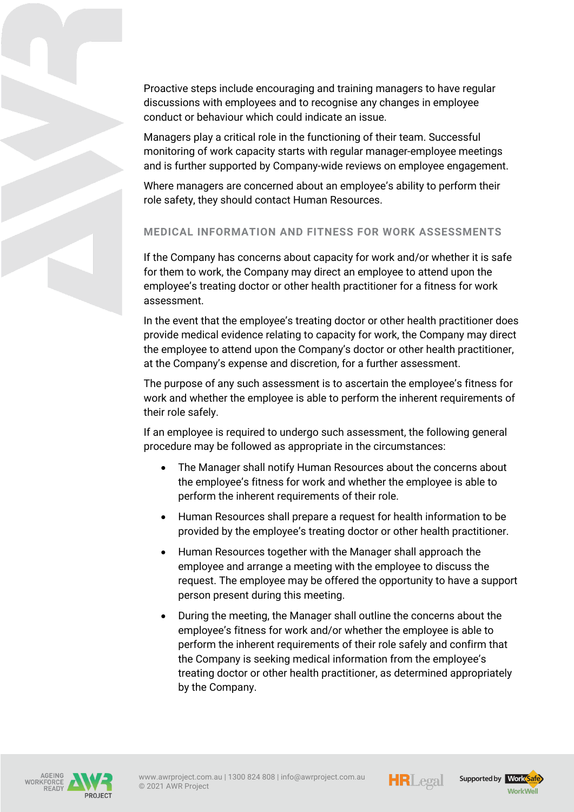Proactive steps include encouraging and training managers to have regular discussions with employees and to recognise any changes in employee conduct or behaviour which could indicate an issue.

Managers play a critical role in the functioning of their team. Successful monitoring of work capacity starts with regular manager-employee meetings and is further supported by Company-wide reviews on employee engagement.

Where managers are concerned about an employee's ability to perform their role safety, they should contact Human Resources.

# **MEDICAL INFORMATION AND FITNESS FOR WORK ASSESSMENTS**

If the Company has concerns about capacity for work and/or whether it is safe for them to work, the Company may direct an employee to attend upon the employee's treating doctor or other health practitioner for a fitness for work assessment.

In the event that the employee's treating doctor or other health practitioner does provide medical evidence relating to capacity for work, the Company may direct the employee to attend upon the Company's doctor or other health practitioner, at the Company's expense and discretion, for a further assessment.

The purpose of any such assessment is to ascertain the employee's fitness for work and whether the employee is able to perform the inherent requirements of their role safely.

If an employee is required to undergo such assessment, the following general procedure may be followed as appropriate in the circumstances:

- The Manager shall notify Human Resources about the concerns about the employee's fitness for work and whether the employee is able to perform the inherent requirements of their role.
- Human Resources shall prepare a request for health information to be provided by the employee's treating doctor or other health practitioner.
- Human Resources together with the Manager shall approach the employee and arrange a meeting with the employee to discuss the request. The employee may be offered the opportunity to have a support person present during this meeting.
- During the meeting, the Manager shall outline the concerns about the employee's fitness for work and/or whether the employee is able to perform the inherent requirements of their role safely and confirm that the Company is seeking medical information from the employee's treating doctor or other health practitioner, as determined appropriately by the Company.





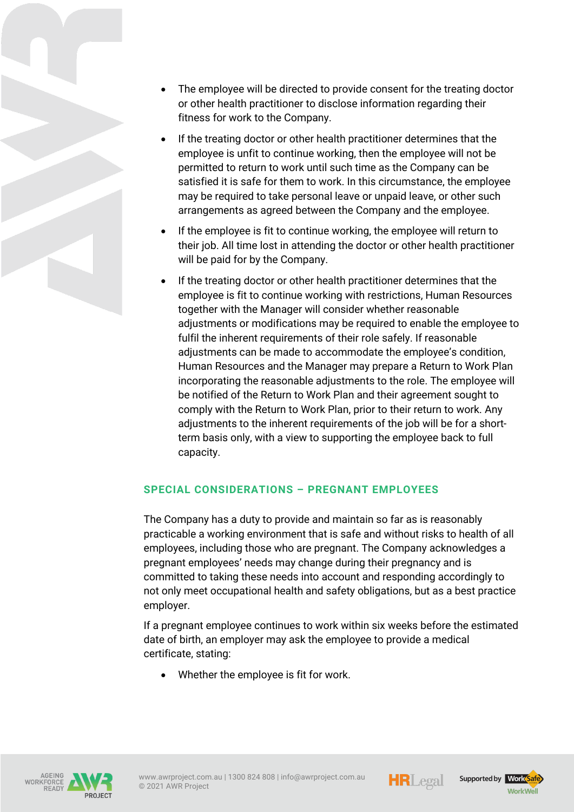- The employee will be directed to provide consent for the treating doctor or other health practitioner to disclose information regarding their fitness for work to the Company.
- If the treating doctor or other health practitioner determines that the employee is unfit to continue working, then the employee will not be permitted to return to work until such time as the Company can be satisfied it is safe for them to work. In this circumstance, the employee may be required to take personal leave or unpaid leave, or other such arrangements as agreed between the Company and the employee.
- If the employee is fit to continue working, the employee will return to their job. All time lost in attending the doctor or other health practitioner will be paid for by the Company.
- If the treating doctor or other health practitioner determines that the employee is fit to continue working with restrictions, Human Resources together with the Manager will consider whether reasonable adjustments or modifications may be required to enable the employee to fulfil the inherent requirements of their role safely. If reasonable adjustments can be made to accommodate the employee's condition, Human Resources and the Manager may prepare a Return to Work Plan incorporating the reasonable adjustments to the role. The employee will be notified of the Return to Work Plan and their agreement sought to comply with the Return to Work Plan, prior to their return to work. Any adjustments to the inherent requirements of the job will be for a shortterm basis only, with a view to supporting the employee back to full capacity.

## **SPECIAL CONSIDERATIONS – PREGNANT EMPLOYEES**

The Company has a duty to provide and maintain so far as is reasonably practicable a working environment that is safe and without risks to health of all employees, including those who are pregnant. The Company acknowledges a pregnant employees' needs may change during their pregnancy and is committed to taking these needs into account and responding accordingly to not only meet occupational health and safety obligations, but as a best practice employer.

If a pregnant employee continues to work within six weeks before the estimated date of birth, an employer may ask the employee to provide a medical certificate, stating:

Whether the employee is fit for work.







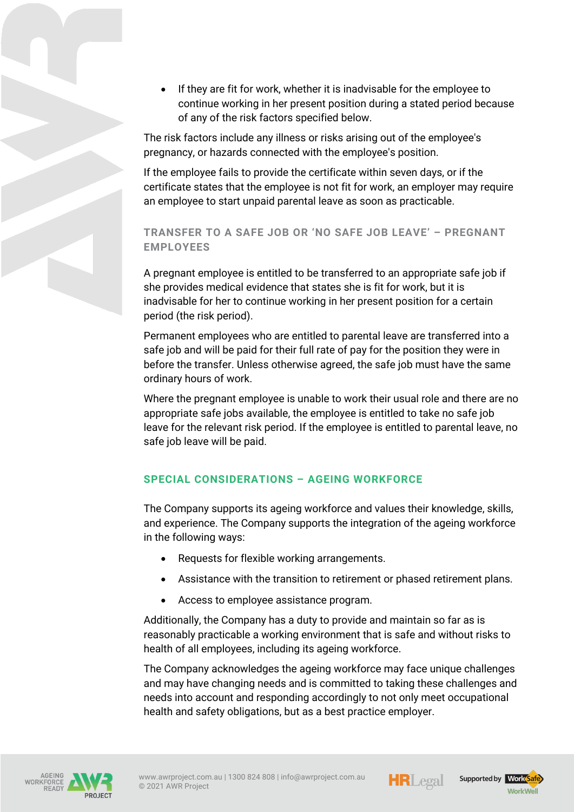• If they are fit for work, whether it is inadvisable for the employee to continue working in her present position during a stated period because of any of the risk factors specified below.

The risk factors include any illness or risks arising out of the employee's pregnancy, or hazards connected with the employee's position.

If the employee fails to provide the certificate within seven days, or if the certificate states that the employee is not fit for work, an employer may require an employee to start unpaid parental leave as soon as practicable.

# **TRANSFER TO A SAFE JOB OR 'NO SAFE JOB LEAVE' – PREGNANT EMPLOYEES**

A pregnant employee is entitled to be transferred to an appropriate safe job if she provides medical evidence that states she is fit for work, but it is inadvisable for her to continue working in her present position for a certain period (the risk period).

Permanent employees who are entitled to parental leave are transferred into a safe job and will be paid for their full rate of pay for the position they were in before the transfer. Unless otherwise agreed, the safe job must have the same ordinary hours of work.

Where the pregnant employee is unable to work their usual role and there are no appropriate safe jobs available, the employee is entitled to take no safe job leave for the relevant risk period. If the employee is entitled to parental leave, no safe job leave will be paid.

# **SPECIAL CONSIDERATIONS – AGEING WORKFORCE**

The Company supports its ageing workforce and values their knowledge, skills, and experience. The Company supports the integration of the ageing workforce in the following ways:

- Requests for flexible working arrangements.
- Assistance with the transition to retirement or phased retirement plans.
- Access to employee assistance program.

Additionally, the Company has a duty to provide and maintain so far as is reasonably practicable a working environment that is safe and without risks to health of all employees, including its ageing workforce.

The Company acknowledges the ageing workforce may face unique challenges and may have changing needs and is committed to taking these challenges and needs into account and responding accordingly to not only meet occupational health and safety obligations, but as a best practice employer.







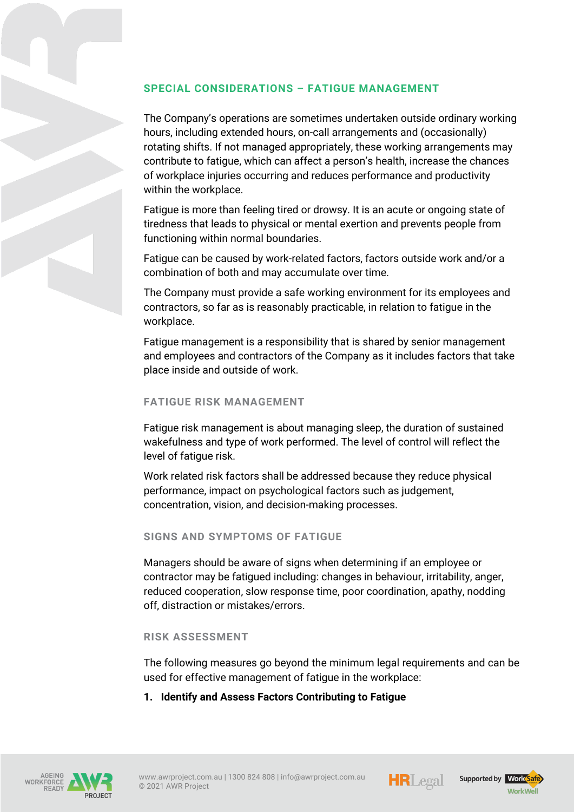# **SPECIAL CONSIDERATIONS – FATIGUE MANAGEMENT**

The Company's operations are sometimes undertaken outside ordinary working hours, including extended hours, on-call arrangements and (occasionally) rotating shifts. If not managed appropriately, these working arrangements may contribute to fatigue, which can affect a person's health, increase the chances of workplace injuries occurring and reduces performance and productivity within the workplace.

Fatigue is more than feeling tired or drowsy. It is an acute or ongoing state of tiredness that leads to physical or mental exertion and prevents people from functioning within normal boundaries.

Fatigue can be caused by work-related factors, factors outside work and/or a combination of both and may accumulate over time.

The Company must provide a safe working environment for its employees and contractors, so far as is reasonably practicable, in relation to fatigue in the workplace.

Fatigue management is a responsibility that is shared by senior management and employees and contractors of the Company as it includes factors that take place inside and outside of work.

## **FATIGUE RISK MANAGEMENT**

Fatigue risk management is about managing sleep, the duration of sustained wakefulness and type of work performed. The level of control will reflect the level of fatigue risk.

Work related risk factors shall be addressed because they reduce physical performance, impact on psychological factors such as judgement, concentration, vision, and decision-making processes.

#### **SIGNS AND SYMPTOMS OF FATIGUE**

Managers should be aware of signs when determining if an employee or contractor may be fatigued including: changes in behaviour, irritability, anger, reduced cooperation, slow response time, poor coordination, apathy, nodding off, distraction or mistakes/errors.

#### **RISK ASSESSMENT**

The following measures go beyond the minimum legal requirements and can be used for effective management of fatigue in the workplace:

**1. Identify and Assess Factors Contributing to Fatigue**







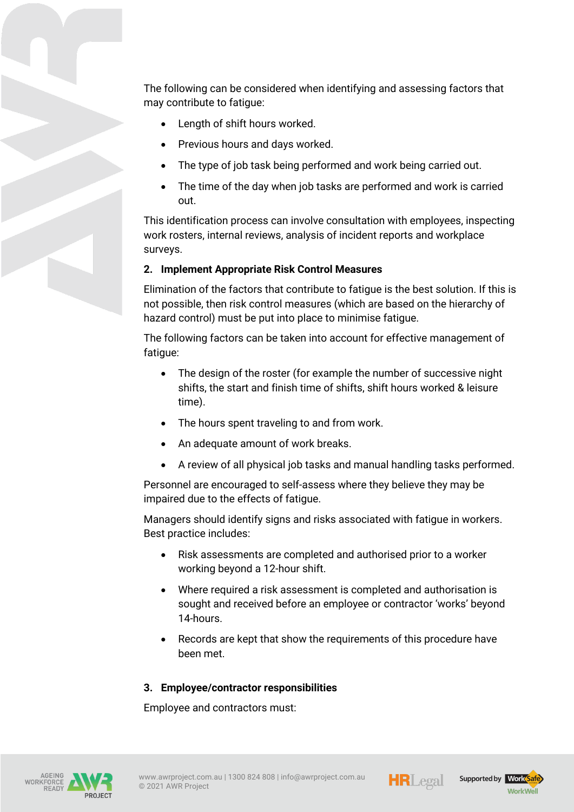The following can be considered when identifying and assessing factors that may contribute to fatigue:

- Length of shift hours worked.
- Previous hours and days worked.
- The type of job task being performed and work being carried out.
- The time of the day when job tasks are performed and work is carried out.

This identification process can involve consultation with employees, inspecting work rosters, internal reviews, analysis of incident reports and workplace surveys.

## **2. Implement Appropriate Risk Control Measures**

Elimination of the factors that contribute to fatigue is the best solution. If this is not possible, then risk control measures (which are based on the hierarchy of hazard control) must be put into place to minimise fatigue.

The following factors can be taken into account for effective management of fatigue:

- The design of the roster (for example the number of successive night shifts, the start and finish time of shifts, shift hours worked & leisure time).
- The hours spent traveling to and from work.
- An adequate amount of work breaks.
- A review of all physical job tasks and manual handling tasks performed.

Personnel are encouraged to self-assess where they believe they may be impaired due to the effects of fatigue.

Managers should identify signs and risks associated with fatigue in workers. Best practice includes:

- Risk assessments are completed and authorised prior to a worker working beyond a 12-hour shift.
- Where required a risk assessment is completed and authorisation is sought and received before an employee or contractor 'works' beyond 14-hours.
- Records are kept that show the requirements of this procedure have been met.

#### **3. Employee/contractor responsibilities**

Employee and contractors must: